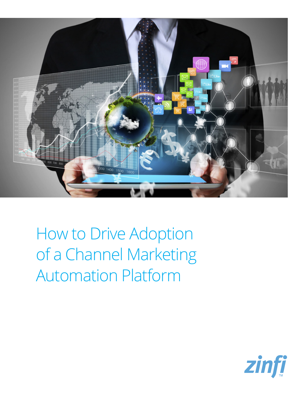

How to Drive Adoption of a Channel Marketing Automation Platform

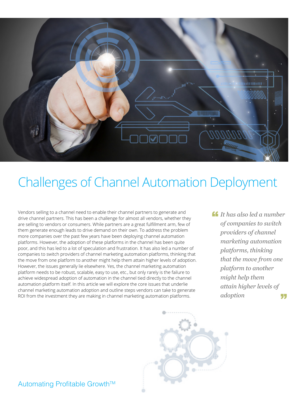

# Challenges of Channel Automation Deployment

Vendors selling to a channel need to enable their channel partners to generate and drive channel partners. This has been a challenge for almost all vendors, whether they are selling to vendors or consumers. While partners are a great fulfillment arm, few of them generate enough leads to drive demand on their own. To address the problem more companies over the past few years have been deploying channel automation platforms. However, the adoption of these platforms in the channel has been quite poor, and this has led to a lot of speculation and frustration. It has also led a number of companies to switch providers of channel marketing automation platforms, thinking that the move from one platform to another might help them attain higher levels of adoption. However, the issues generally lie elsewhere. Yes, the channel marketing automation platform needs to be robust, scalable, easy to use, etc., but only rarely is the failure to achieve widespread adoption of automation in the channel tied directly to the channel automation platform itself. In this article we will explore the core issues that underlie channel marketing automation adoption and outline steps vendors can take to generate ROI from the investment they are making in channel marketing automation platforms.

*It has also led a number*  " *of companies to switch providers of channel marketing automation platforms, thinking that the move from one platform to another might help them attain higher levels of adoption* 55



Automating Profitable Growth™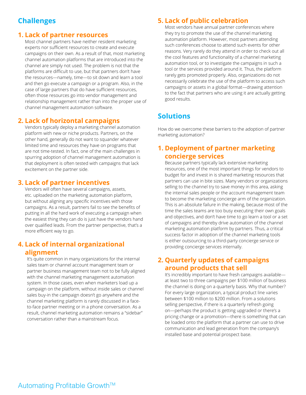# **Challenges**

## **1. Lack of partner resources**

Most channel partners have neither resident marketing experts nor sufficient resources to create and execute campaigns on their own. As a result of that, most marketing channel automation platforms that are introduced into the channel are simply not used. The problem is not that the platforms are difficult to use, but that partners don't have the resources—namely, time—to sit down and learn a tool and then go execute a campaign or a program. Also, in the case of large partners that do have sufficient resources, often those resources go into vendor management and relationship management rather than into the proper use of channel management automation software.

## **2. Lack of horizontal campaigns**

Vendors typically deploy a marketing channel automation platform with new or niche products. Partners, on the other hand, generally do not want to squander whatever limited time and resources they have on programs that are not time-tested. In fact, one of the main challenges in spurring adoption of channel management automation is that deployment is often tested with campaigns that lack excitement on the partner side.

## **3. Lack of partner incentives**

Vendors will often have several campaigns, assets, etc. uploaded on the marketing automation platform, but without aligning any specific incentives with those campaigns. As a result, partners fail to see the benefits of putting in all the hard work of executing a campaign when the easiest thing they can do is just have the vendors hand over qualified leads. From the partner perspective, that's a more efficient way to go.

## **4. Lack of internal organizational alignment**

It's quite common in many organizations for the internal sales team or channel account management team or partner business management team not to be fully aligned with the channel marketing management automation system. In those cases, even when marketers load up a campaign on the platform, without inside sales or channel sales buy-in the campaign doesn't go anywhere and the channel marketing platform is rarely discussed in a faceto-face partner meeting or in a phone conversation. As a result, channel marketing automation remains a "sidebar" conversation rather than a mainstream focus.

# **5. Lack of public celebration**

Most vendors have annual partner conferences where they try to promote the use of the channel marketing automation platform. However, most partners attending such conferences choose to attend such events for other reasons. Very rarely do they attend in order to check out all the cool features and functionality of a channel marketing automation tool, or to investigate the campaigns in such a tool or the services provided around it. Thus, the platform rarely gets promoted properly. Also, organizations do not necessarily celebrate the use of the platform to access such campaigns or assets in a global format—drawing attention to the fact that partners who are using it are actually getting good results.

# **Solutions**

How do we overcome these barriers to the adoption of partner marketing automation?

# **1. Deployment of partner marketing concierge services**

Because partners typically lack extensive marketing resources, one of the most important things for vendors to budget for and invest in is shared marketing resources that partners can use in bite sizes. Many vendors or organizations selling to the channel try to save money in this area, asking the internal sales people or the account management team to become the marketing concierge arm of the organization. This is an absolute failure in the making, because most of the time the sales teams are too busy executing their own goals and objectives, and don't have time to go learn a tool or a set of campaigns and thereby drive automation of the channel marketing automation platform by partners. Thus, a critical success factor in adoption of the channel marketing tools is either outsourcing to a third-party concierge service or providing concierge services internally.

# **2. Quarterly updates of campaigns around products that sell**

It's incredibly important to have fresh campaigns available at least two to three campaigns per \$100 million of business the channel is doing on a quarterly basis. Why that number? For every large organization, a typical product line varies between \$100 million to \$200 million. From a solutions selling perspective, if there is a quarterly refresh going on—perhaps the product is getting upgraded or there's a pricing change or a promotion—there is something that can be loaded onto the platform that a partner can use to drive communication and lead generation from the company's installed base and potential prospect base.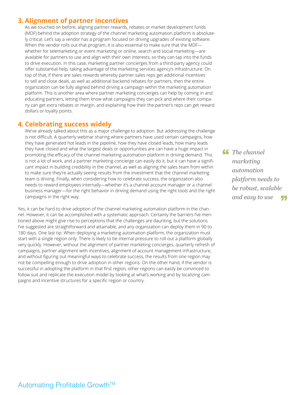## **3. Alignment of partner incentives**

As we touched on before, aligning partner rewards, rebates or market development funds (MDF) behind the adoption strategy of the channel marketing automation platform is absolutely critical. Let's say a vendor has a program focused on driving upgrades of existing software. When the vendor rolls out that program, it is also essential to make sure that the MDF whether for telemarketing or event marketing or online, search and social marketing—are available for partners to use and align with their own interests, so they can tap into the funds to drive execution. In this case, marketing partner concierges from a third-party agency could offer substantial help, taking advantage of the marketing services agency's infrastructure. On top of that, if there are sales rewards whereby partner sales reps get additional incentives to sell and close deals, as well as additional backend rebates for partners, then the entire organization can be fully aligned behind driving a campaign within the marketing automation platform. This is another area where partner marketing concierges can help by coming in and educating partners, letting them know what campaigns they can pick and where their company can get extra rebates or margin, and explaining how their the partner's reps can get reward dollars or loyalty points.

### **4. Celebrating success widely**

We've already talked about this as a major challenge to adoption. But addressing the challenge is not difficult. A quarterly webinar sharing where partners have used certain campaigns, how they have generated hot leads in the pipeline, how they have closed leads, how many leads they have closed and what the largest deals or opportunities are can have a huge impact in promoting the efficacy of the channel marketing automation platform in driving demand. This is not a lot of work, and a partner marketing concierge can easily do it, but it can have a significant impact in building credibility in the channel, as well as aligning the sales team from within to make sure they're actually seeing results from the investment that the channel marketing team is driving. Finally, when considering how to celebrate success, the organization also needs to reward employees internally—whether it's a channel account manager or a channel business manager—for the right behavior in driving demand using the right tools and the right campaigns in the right way.

Yes, it can be hard to drive adoption of the channel marketing automation platform in the channel. However, it can be accomplished with a systematic approach. Certainly the barriers I've mentioned above might give rise to perceptions that the challenges are daunting, but the solutions I've suggested are straightforward and attainable, and any organization can deploy them in 90 to 180 days. One last tip: When deploying a marketing automation platform, the organization must start with a single region only. There is likely to be internal pressure to roll out a platform globally very quickly. However, without the alignment of partner marketing concierges, quarterly refresh of campaigns, partner alignment with incentives, alignment of account management infrastructure, and without figuring out meaningful ways to celebrate success, the results from one region may not be compelling enough to drive adoption in other regions. On the other hand, if the vendor is successful in adopting the platform in that first region, other regions can easily be convinced to follow suit and replicate the execution model by looking at what's working and by localizing campaigns and incentive structures for a specific region or country.

*The channel*<br>marketing *marketing automation platform needs to be robust, scalable and easy to use* "